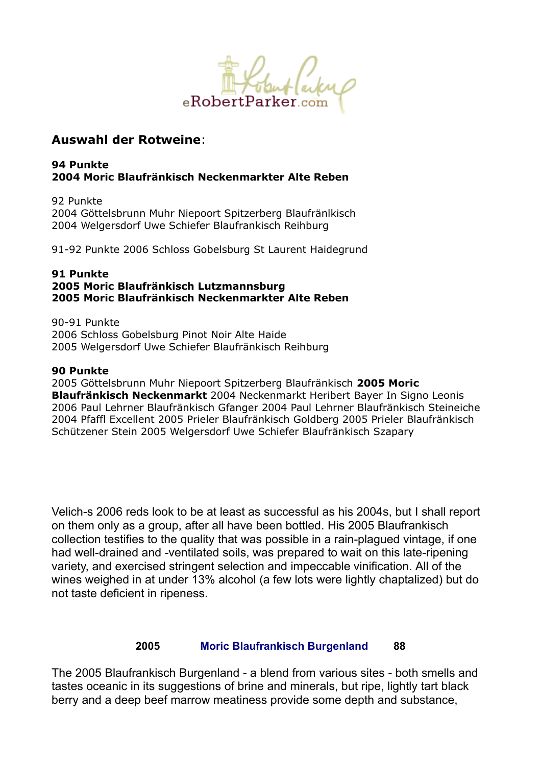

## **Auswahl der Rotweine**:

### **94 Punkte 2004 Moric Blaufränkisch Neckenmarkter Alte Reben**

92 Punkte 2004 Göttelsbrunn Muhr Niepoort Spitzerberg Blaufränlkisch 2004 Welgersdorf Uwe Schiefer Blaufrankisch Reihburg

91-92 Punkte 2006 Schloss Gobelsburg St Laurent Haidegrund

#### **91 Punkte 2005 Moric Blaufränkisch Lutzmannsburg 2005 Moric Blaufränkisch Neckenmarkter Alte Reben**

90-91 Punkte 2006 Schloss Gobelsburg Pinot Noir Alte Haide 2005 Welgersdorf Uwe Schiefer Blaufränkisch Reihburg

#### **90 Punkte**

2005 Göttelsbrunn Muhr Niepoort Spitzerberg Blaufränkisch **2005 Moric Blaufränkisch Neckenmarkt** 2004 Neckenmarkt Heribert Bayer In Signo Leonis 2006 Paul Lehrner Blaufränkisch Gfanger 2004 Paul Lehrner Blaufränkisch Steineiche 2004 Pfaffl Excellent 2005 Prieler Blaufränkisch Goldberg 2005 Prieler Blaufränkisch Schützener Stein 2005 Welgersdorf Uwe Schiefer Blaufränkisch Szapary

Velich-s 2006 reds look to be at least as successful as his 2004s, but I shall report on them only as a group, after all have been bottled. His 2005 Blaufrankisch collection testifies to the quality that was possible in a rain-plagued vintage, if one had well-drained and -ventilated soils, was prepared to wait on this late-ripening variety, and exercised stringent selection and impeccable vinification. All of the wines weighed in at under 13% alcohol (a few lots were lightly chaptalized) but do not taste deficient in ripeness.

### **2005 Moric [Blaufrankisch](http://www.erobertparker.com/newSearch/th.aspx?th=122504&id=1) Burgenland 88**

The 2005 Blaufrankisch Burgenland - a blend from various sites - both smells and tastes oceanic in its suggestions of brine and minerals, but ripe, lightly tart black berry and a deep beef marrow meatiness provide some depth and substance,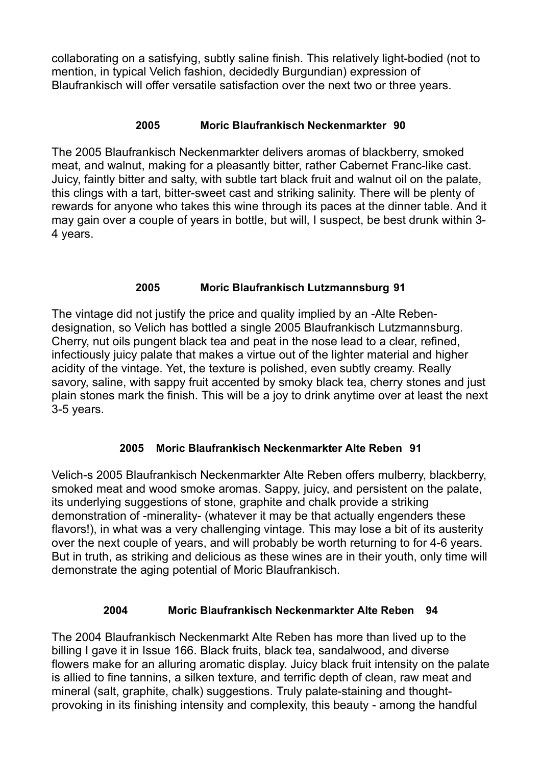collaborating on a satisfying, subtly saline finish. This relatively light-bodied (not to mention, in typical Velich fashion, decidedly Burgundian) expression of Blaufrankisch will offer versatile satisfaction over the next two or three years.

# **2005 Moric Blaufrankisch [Neckenmarkter](http://www.erobertparker.com/newSearch/th.aspx?th=122506&id=1) 90**

The 2005 Blaufrankisch Neckenmarkter delivers aromas of blackberry, smoked meat, and walnut, making for a pleasantly bitter, rather Cabernet Franc-like cast. Juicy, faintly bitter and salty, with subtle tart black fruit and walnut oil on the palate, this clings with a tart, bitter-sweet cast and striking salinity. There will be plenty of rewards for anyone who takes this wine through its paces at the dinner table. And it may gain over a couple of years in bottle, but will, I suspect, be best drunk within 3- 4 years.

# **2005 Moric Blaufrankisch [Lutzmannsburg](http://www.erobertparker.com/newSearch/th.aspx?th=122505&id=1) 91**

The vintage did not justify the price and quality implied by an -Alte Rebendesignation, so Velich has bottled a single 2005 Blaufrankisch Lutzmannsburg. Cherry, nut oils pungent black tea and peat in the nose lead to a clear, refined, infectiously juicy palate that makes a virtue out of the lighter material and higher acidity of the vintage. Yet, the texture is polished, even subtly creamy. Really savory, saline, with sappy fruit accented by smoky black tea, cherry stones and just plain stones mark the finish. This will be a joy to drink anytime over at least the next 3-5 years.

# **2005 Moric Blaufrankisch [Neckenmarkter](http://www.erobertparker.com/newSearch/th.aspx?th=122507&id=1) Alte Reben 91**

Velich-s 2005 Blaufrankisch Neckenmarkter Alte Reben offers mulberry, blackberry, smoked meat and wood smoke aromas. Sappy, juicy, and persistent on the palate, its underlying suggestions of stone, graphite and chalk provide a striking demonstration of -minerality- (whatever it may be that actually engenders these flavors!), in what was a very challenging vintage. This may lose a bit of its austerity over the next couple of years, and will probably be worth returning to for 4-6 years. But in truth, as striking and delicious as these wines are in their youth, only time will demonstrate the aging potential of Moric Blaufrankisch.

# **2004 Moric Blaufrankisch [Neckenmarkter](http://www.erobertparker.com/newSearch/th.aspx?th=99863&id=1) Alte Reben 94**

The 2004 Blaufrankisch Neckenmarkt Alte Reben has more than lived up to the billing I gave it in Issue 166. Black fruits, black tea, sandalwood, and diverse flowers make for an alluring aromatic display. Juicy black fruit intensity on the palate is allied to fine tannins, a silken texture, and terrific depth of clean, raw meat and mineral (salt, graphite, chalk) suggestions. Truly palate-staining and thoughtprovoking in its finishing intensity and complexity, this beauty - among the handful